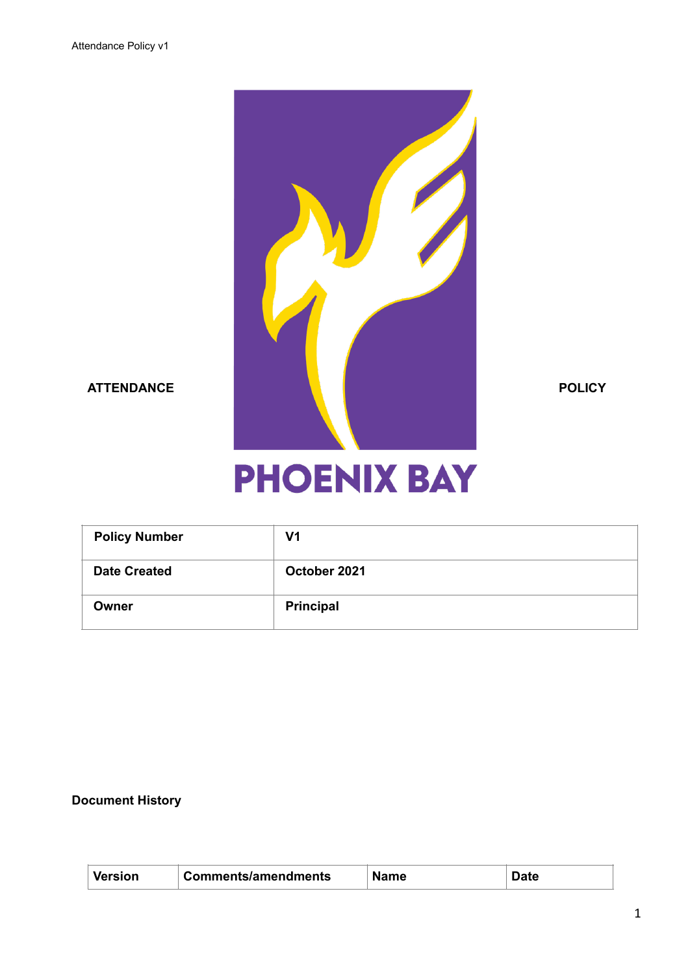

# **PHOENIX BAY**

| <b>Policy Number</b> | V1               |
|----------------------|------------------|
| <b>Date Created</b>  | October 2021     |
| Owner                | <b>Principal</b> |

## **Document History**

| ersion | Comments/amendments | Name |  |
|--------|---------------------|------|--|
|        |                     |      |  |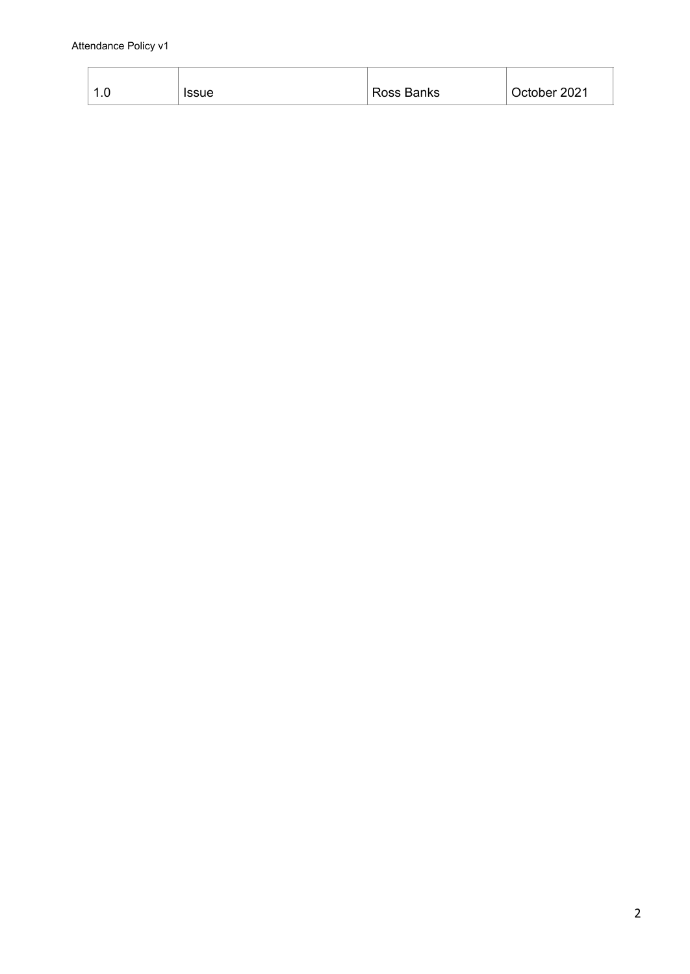| ı.u | <b>Issue</b> | Ross Banks | October 2021 |
|-----|--------------|------------|--------------|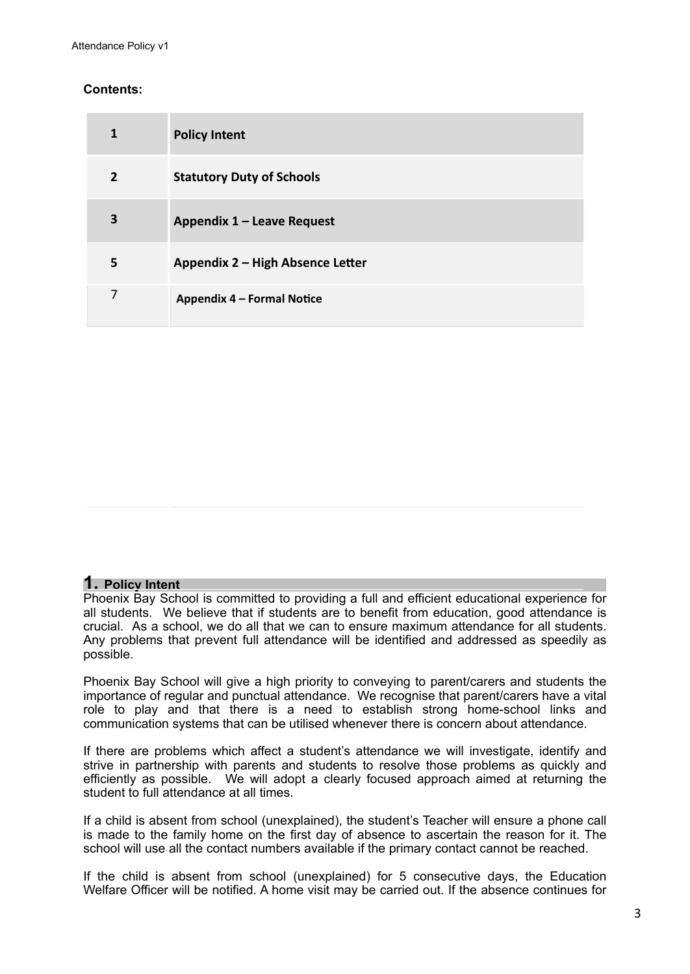#### **Contents:**

| 1              | <b>Policy Intent</b>             |
|----------------|----------------------------------|
| $\overline{2}$ | <b>Statutory Duty of Schools</b> |
| 3              | Appendix 1 - Leave Request       |
| 5              | Appendix 2 - High Absence Letter |
| 7              | Appendix 4 - Formal Notice       |

#### **1. Policy Intent**

Phoenix Bay School is committed to providing a full and efficient educational experience for all students. We believe that if students are to benefit from education, good attendance is crucial. As a school, we do all that we can to ensure maximum attendance for all students. Any problems that prevent full attendance will be identified and addressed as speedily as possible.

Phoenix Bay School will give a high priority to conveying to parent/carers and students the importance of regular and punctual attendance. We recognise that parent/carers have a vital role to play and that there is a need to establish strong home-school links and communication systems that can be utilised whenever there is concern about attendance.

If there are problems which affect a student's attendance we will investigate, identify and strive in partnership with parents and students to resolve those problems as quickly and efficiently as possible. We will adopt a clearly focused approach aimed at returning the student to full attendance at all times.

If a child is absent from school (unexplained), the student's Teacher will ensure a phone call is made to the family home on the first day of absence to ascertain the reason for it. The school will use all the contact numbers available if the primary contact cannot be reached.

If the child is absent from school (unexplained) for 5 consecutive days, the Education Welfare Officer will be notified. A home visit may be carried out. If the absence continues for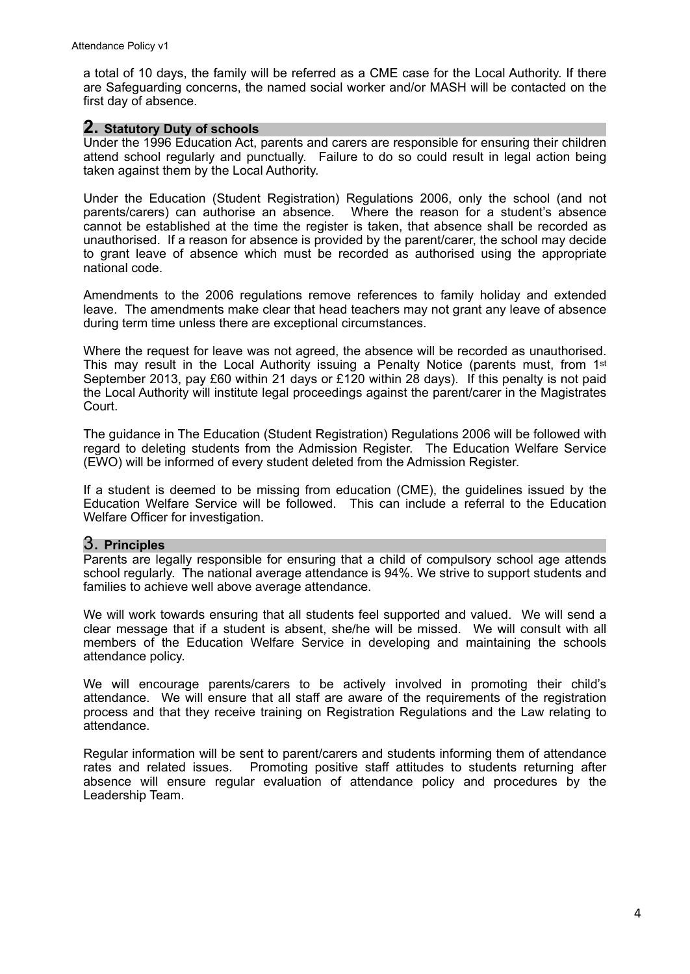a total of 10 days, the family will be referred as a CME case for the Local Authority. If there are Safeguarding concerns, the named social worker and/or MASH will be contacted on the first day of absence.

#### **2. Statutory Duty of schools**

Under the 1996 Education Act, parents and carers are responsible for ensuring their children attend school regularly and punctually. Failure to do so could result in legal action being taken against them by the Local Authority.

Under the Education (Student Registration) Regulations 2006, only the school (and not parents/carers) can authorise an absence. Where the reason for a student's absence cannot be established at the time the register is taken, that absence shall be recorded as unauthorised. If a reason for absence is provided by the parent/carer, the school may decide to grant leave of absence which must be recorded as authorised using the appropriate national code.

Amendments to the 2006 regulations remove references to family holiday and extended leave. The amendments make clear that head teachers may not grant any leave of absence during term time unless there are exceptional circumstances.

Where the request for leave was not agreed, the absence will be recorded as unauthorised. This may result in the Local Authority issuing a Penalty Notice (parents must, from 1st September 2013, pay £60 within 21 days or £120 within 28 days). If this penalty is not paid the Local Authority will institute legal proceedings against the parent/carer in the Magistrates Court.

The guidance in The Education (Student Registration) Regulations 2006 will be followed with regard to deleting students from the Admission Register. The Education Welfare Service (EWO) will be informed of every student deleted from the Admission Register.

If a student is deemed to be missing from education (CME), the guidelines issued by the Education Welfare Service will be followed. This can include a referral to the Education Welfare Officer for investigation.

### 3. **Principles**

Parents are legally responsible for ensuring that a child of compulsory school age attends school regularly. The national average attendance is 94%. We strive to support students and families to achieve well above average attendance.

We will work towards ensuring that all students feel supported and valued. We will send a clear message that if a student is absent, she/he will be missed. We will consult with all members of the Education Welfare Service in developing and maintaining the schools attendance policy.

We will encourage parents/carers to be actively involved in promoting their child's attendance. We will ensure that all staff are aware of the requirements of the registration process and that they receive training on Registration Regulations and the Law relating to attendance.

Regular information will be sent to parent/carers and students informing them of attendance rates and related issues. Promoting positive staff attitudes to students returning after absence will ensure regular evaluation of attendance policy and procedures by the Leadership Team.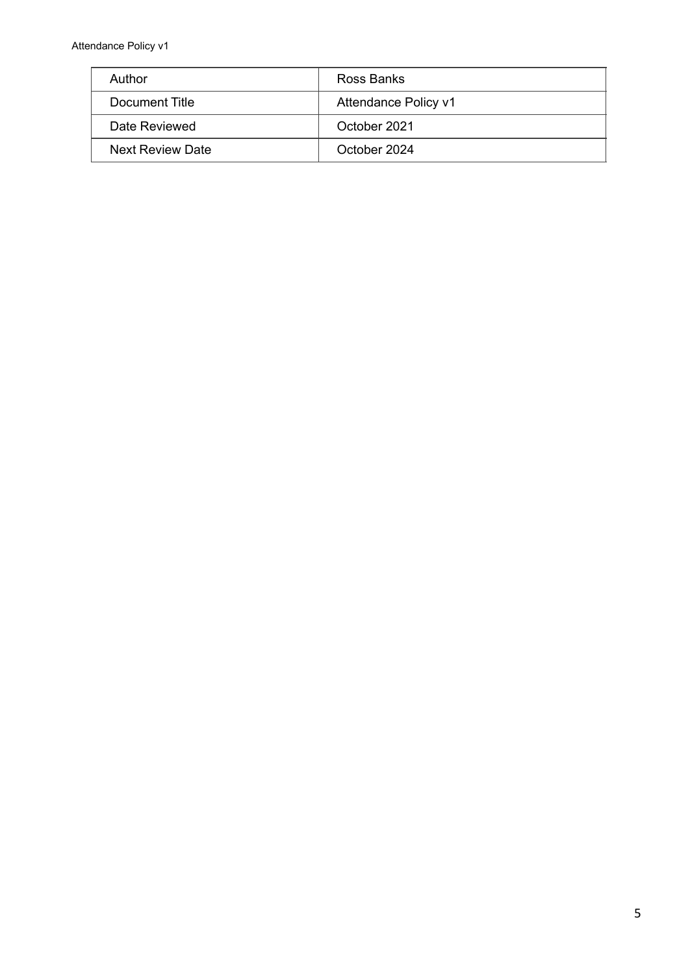Attendance Policy v1

| Author           | Ross Banks           |
|------------------|----------------------|
| Document Title   | Attendance Policy v1 |
| Date Reviewed    | October 2021         |
| Next Review Date | October 2024         |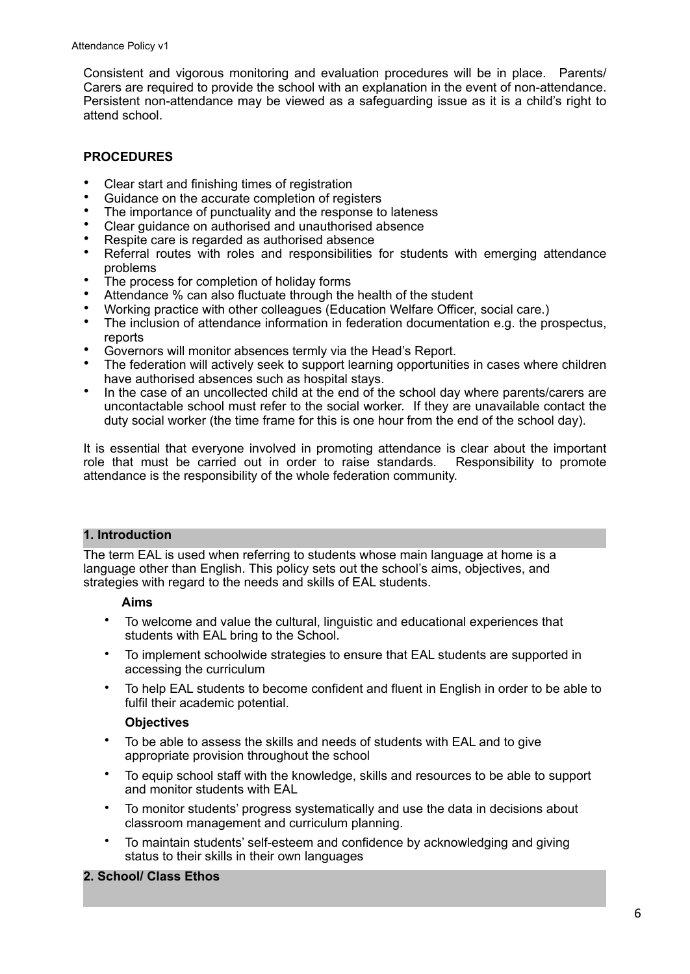Consistent and vigorous monitoring and evaluation procedures will be in place. Parents/ Carers are required to provide the school with an explanation in the event of non-attendance. Persistent non-attendance may be viewed as a safeguarding issue as it is a child's right to attend school.

#### **PROCEDURES**

- Clear start and finishing times of registration
- Guidance on the accurate completion of registers
- The importance of punctuality and the response to lateness
- Clear guidance on authorised and unauthorised absence
- Respite care is regarded as authorised absence
- Referral routes with roles and responsibilities for students with emerging attendance problems
- The process for completion of holiday forms
- Attendance % can also fluctuate through the health of the student
- Working practice with other colleagues (Education Welfare Officer, social care.)
- The inclusion of attendance information in federation documentation e.g. the prospectus, reports
- Governors will monitor absences termly via the Head's Report.
- The federation will actively seek to support learning opportunities in cases where children have authorised absences such as hospital stays.
- In the case of an uncollected child at the end of the school day where parents/carers are uncontactable school must refer to the social worker. If they are unavailable contact the duty social worker (the time frame for this is one hour from the end of the school day).

It is essential that everyone involved in promoting attendance is clear about the important role that must be carried out in order to raise standards. Responsibility to promote attendance is the responsibility of the whole federation community.

#### **1. Introduction**

The term EAL is used when referring to students whose main language at home is a language other than English. This policy sets out the school's aims, objectives, and strategies with regard to the needs and skills of EAL students.

#### **Aims**

- To welcome and value the cultural, linguistic and educational experiences that students with EAL bring to the School.
- To implement schoolwide strategies to ensure that EAL students are supported in accessing the curriculum
- To help EAL students to become confident and fluent in English in order to be able to fulfil their academic potential.

#### **Objectives**

- To be able to assess the skills and needs of students with EAL and to give appropriate provision throughout the school
- To equip school staff with the knowledge, skills and resources to be able to support and monitor students with EAL
- To monitor students' progress systematically and use the data in decisions about classroom management and curriculum planning.
- To maintain students' self-esteem and confidence by acknowledging and giving status to their skills in their own languages

#### **2. School/ Class Ethos**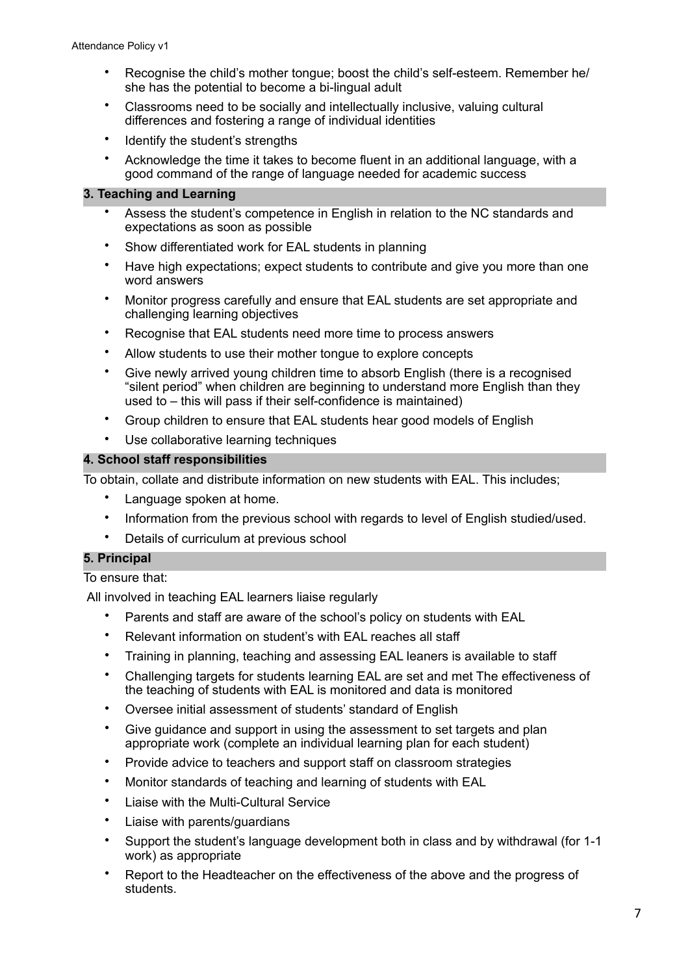- Recognise the child's mother tongue; boost the child's self-esteem. Remember he/ she has the potential to become a bi-lingual adult
- Classrooms need to be socially and intellectually inclusive, valuing cultural differences and fostering a range of individual identities
- Identify the student's strengths
- Acknowledge the time it takes to become fluent in an additional language, with a good command of the range of language needed for academic success

#### **3. Teaching and Learning**

- Assess the student's competence in English in relation to the NC standards and expectations as soon as possible
- Show differentiated work for EAL students in planning
- Have high expectations; expect students to contribute and give you more than one word answers
- Monitor progress carefully and ensure that EAL students are set appropriate and challenging learning objectives
- Recognise that EAL students need more time to process answers
- Allow students to use their mother tongue to explore concepts
- Give newly arrived young children time to absorb English (there is a recognised "silent period" when children are beginning to understand more English than they used to – this will pass if their self-confidence is maintained)
- Group children to ensure that EAL students hear good models of English
- Use collaborative learning techniques

#### **4. School staff responsibilities**

To obtain, collate and distribute information on new students with EAL. This includes;

- Language spoken at home.
- Information from the previous school with regards to level of English studied/used.
- Details of curriculum at previous school

#### **5. Principal**

#### To ensure that:

All involved in teaching EAL learners liaise regularly

- Parents and staff are aware of the school's policy on students with EAL
- Relevant information on student's with EAL reaches all staff
- Training in planning, teaching and assessing EAL leaners is available to staff
- Challenging targets for students learning EAL are set and met The effectiveness of the teaching of students with EAL is monitored and data is monitored
- Oversee initial assessment of students' standard of English
- Give guidance and support in using the assessment to set targets and plan appropriate work (complete an individual learning plan for each student)
- Provide advice to teachers and support staff on classroom strategies
- Monitor standards of teaching and learning of students with EAL
- Liaise with the Multi-Cultural Service
- Liaise with parents/guardians
- Support the student's language development both in class and by withdrawal (for 1-1 work) as appropriate
- Report to the Headteacher on the effectiveness of the above and the progress of students.